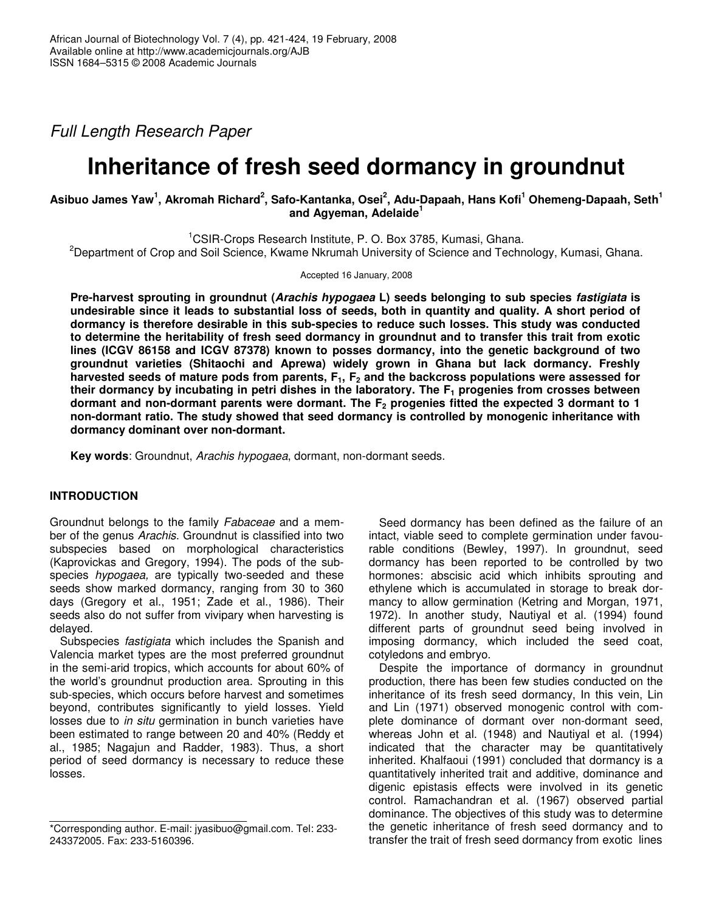*Full Length Research Paper*

# **Inheritance of fresh seed dormancy in groundnut**

# Asibuo James Yaw<sup>1</sup>, Akromah Richard<sup>2</sup>, Safo-Kantanka, Osei<sup>2</sup>, Adu-Dapaah, Hans Kofi<sup>1</sup> Ohemeng-Dapaah, Seth<sup>1</sup> **and Agyeman, Adelaide 1**

<sup>1</sup>CSIR-Crops Research Institute, P. O. Box 3785, Kumasi, Ghana.

<sup>2</sup>Department of Crop and Soil Science, Kwame Nkrumah University of Science and Technology, Kumasi, Ghana.

Accepted 16 January, 2008

**Pre-harvest sprouting in groundnut (***Arachis hypogaea* **L) seeds belonging to sub species** *fastigiata* **is** undesirable since it leads to substantial loss of seeds, both in quantity and quality. A short period of **dormancy is therefore desirable in this sub-species to reduce such losses. This study was conducted to determine the heritability of fresh seed dormancy in groundnut and to transfer this trait from exotic lines (ICGV 86158 and ICGV 87378) known to posses dormancy, into the genetic background of two groundnut varieties (Shitaochi and Aprewa) widely grown in Ghana but lack dormancy. Freshly** harvested seeds of mature pods from parents,  $F_1$ ,  $F_2$  and the backcross populations were assessed for **their dormancy by incubating in petri dishes in the laboratory. The F<sup>1</sup> progenies from crosses between dormant and non-dormant parents were dormant. The F<sup>2</sup> progenies fitted the expected 3 dormant to 1 non-dormant ratio. The study showed that seed dormancy is controlled by monogenic inheritance with dormancy dominant over non-dormant.**

**Key words**: Groundnut, *Arachis hypogaea*, dormant, non-dormant seeds.

# **INTRODUCTION**

Groundnut belongs to the family *Fabaceae* and a member of the genus *Arachis*. Groundnut is classified into two subspecies based on morphological characteristics (Kaprovickas and Gregory, 1994). The pods of the subspecies *hypogaea,* are typically two-seeded and these seeds show marked dormancy, ranging from 30 to 360 days (Gregory et al., 1951; Zade et al., 1986). Their seeds also do not suffer from vivipary when harvesting is delayed.

Subspecies *fastigiata* which includes the Spanish and Valencia market types are the most preferred groundnut in the semi-arid tropics, which accounts for about 60% of the world's groundnut production area. Sprouting in this sub-species, which occurs before harvest and sometimes beyond, contributes significantly to yield losses. Yield losses due to *in situ* germination in bunch varieties have been estimated to range between 20 and 40% (Reddy et al., 1985; Nagajun and Radder, 1983). Thus, a short period of seed dormancy is necessary to reduce these losses.

Seed dormancy has been defined as the failure of an intact, viable seed to complete germination under favourable conditions (Bewley, 1997). In groundnut, seed dormancy has been reported to be controlled by two hormones: abscisic acid which inhibits sprouting and ethylene which is accumulated in storage to break dormancy to allow germination (Ketring and Morgan, 1971, 1972). In another study, Nautiyal et al. (1994) found different parts of groundnut seed being involved in imposing dormancy, which included the seed coat, cotyledons and embryo.

Despite the importance of dormancy in groundnut production, there has been few studies conducted on the inheritance of its fresh seed dormancy, In this vein, Lin and Lin (1971) observed monogenic control with complete dominance of dormant over non-dormant seed, whereas John et al. (1948) and Nautiyal et al. (1994) indicated that the character may be quantitatively inherited. Khalfaoui (1991) concluded that dormancy is a quantitatively inherited trait and additive, dominance and digenic epistasis effects were involved in its genetic control. Ramachandran et al. (1967) observed partial dominance. The objectives of this study was to determine the genetic inheritance of fresh seed dormancy and to transfer the trait of fresh seed dormancy from exotic lines

<sup>\*</sup>Corresponding author. E-mail: jyasibuo@gmail.com. Tel: 233- 243372005. Fax: 233-5160396.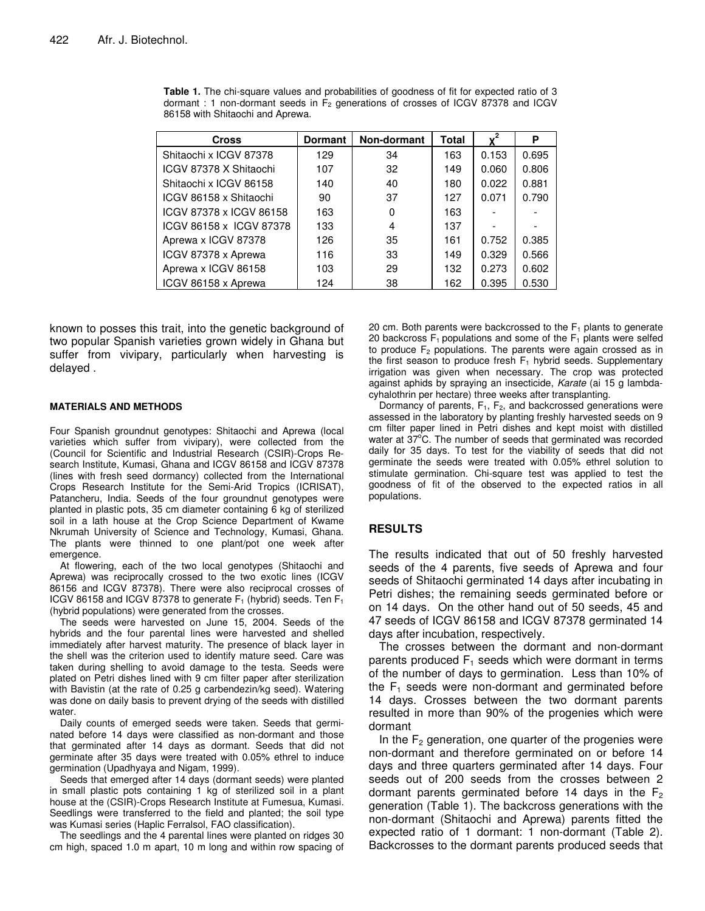| <b>Cross</b>            | <b>Dormant</b> | Non-dormant | Total |       | P     |
|-------------------------|----------------|-------------|-------|-------|-------|
| Shitaochi x ICGV 87378  | 129            | 34          | 163   | 0.153 | 0.695 |
| ICGV 87378 X Shitaochi  | 107            | 32          | 149   | 0.060 | 0.806 |
| Shitaochi x ICGV 86158  | 140            | 40          | 180   | 0.022 | 0.881 |
| ICGV 86158 x Shitaochi  | 90             | 37          | 127   | 0.071 | 0.790 |
| ICGV 87378 x ICGV 86158 | 163            | 0           | 163   |       |       |
| ICGV 86158 x ICGV 87378 | 133            | 4           | 137   |       |       |
| Aprewa x ICGV 87378     | 126            | 35          | 161   | 0.752 | 0.385 |
| ICGV 87378 x Aprewa     | 116            | 33          | 149   | 0.329 | 0.566 |
| Aprewa x ICGV 86158     | 103            | 29          | 132   | 0.273 | 0.602 |
| ICGV 86158 x Aprewa     | 124            | 38          | 162   | 0.395 | 0.530 |

**Table 1.** The chi-square values and probabilities of goodness of fit for expected ratio of 3 dormant : 1 non-dormant seeds in  $F<sub>2</sub>$  generations of crosses of ICGV 87378 and ICGV 86158 with Shitaochi and Aprewa.

known to posses this trait, into the genetic background of two popular Spanish varieties grown widely in Ghana but suffer from vivipary, particularly when harvesting is delayed .

#### **MATERIALS AND METHODS**

Four Spanish groundnut genotypes: Shitaochi and Aprewa (local varieties which suffer from vivipary), were collected from the (Council for Scientific and Industrial Research (CSIR)-Crops Research Institute, Kumasi, Ghana and ICGV 86158 and ICGV 87378 (lines with fresh seed dormancy) collected from the International Crops Research Institute for the Semi-Arid Tropics (ICRISAT), Patancheru, India. Seeds of the four groundnut genotypes were planted in plastic pots, 35 cm diameter containing 6 kg of sterilized soil in a lath house at the Crop Science Department of Kwame Nkrumah University of Science and Technology, Kumasi, Ghana. The plants were thinned to one plant/pot one week after emergence.

At flowering, each of the two local genotypes (Shitaochi and Aprewa) was reciprocally crossed to the two exotic lines (ICGV 86156 and ICGV 87378). There were also reciprocal crosses of ICGV 86158 and ICGV 87378 to generate  $F_1$  (hybrid) seeds. Ten  $F_1$ (hybrid populations) were generated from the crosses.

The seeds were harvested on June 15, 2004. Seeds of the hybrids and the four parental lines were harvested and shelled immediately after harvest maturity. The presence of black layer in the shell was the criterion used to identify mature seed. Care was taken during shelling to avoid damage to the testa. Seeds were plated on Petri dishes lined with 9 cm filter paper after sterilization with Bavistin (at the rate of 0.25 g carbendezin/kg seed). Watering was done on daily basis to prevent drying of the seeds with distilled water

Daily counts of emerged seeds were taken. Seeds that germinated before 14 days were classified as non-dormant and those that germinated after 14 days as dormant. Seeds that did not germinate after 35 days were treated with 0.05% ethrel to induce germination (Upadhyaya and Nigam, 1999).

Seeds that emerged after 14 days (dormant seeds) were planted in small plastic pots containing 1 kg of sterilized soil in a plant house at the (CSIR)-Crops Research Institute at Fumesua, Kumasi. Seedlings were transferred to the field and planted; the soil type was Kumasi series (Haplic Ferralsol, FAO classification).

The seedlings and the 4 parental lines were planted on ridges 30 cm high, spaced 1.0 m apart, 10 m long and within row spacing of

20 cm. Both parents were backcrossed to the  $F_1$  plants to generate 20 backcross  $F_1$  populations and some of the  $F_1$  plants were selfed to produce  $F_2$  populations. The parents were again crossed as in the first season to produce fresh  $F_1$  hybrid seeds. Supplementary irrigation was given when necessary. The crop was protected against aphids by spraying an insecticide, *Karate* (ai 15 g lambdacyhalothrin per hectare) three weeks after transplanting.

Dormancy of parents,  $F_1$ ,  $F_2$ , and backcrossed generations were assessed in the laboratory by planting freshly harvested seeds on 9 cm filter paper lined in Petri dishes and kept moist with distilled water at 37°C. The number of seeds that germinated was recorded daily for 35 days. To test for the viability of seeds that did not germinate the seeds were treated with 0.05% ethrel solution to stimulate germination. Chi-square test was applied to test the goodness of fit of the observed to the expected ratios in all populations.

#### **RESULTS**

The results indicated that out of 50 freshly harvested seeds of the 4 parents, five seeds of Aprewa and four seeds of Shitaochi germinated 14 days after incubating in Petri dishes; the remaining seeds germinated before or on 14 days. On the other hand out of 50 seeds, 45 and 47 seeds of ICGV 86158 and ICGV 87378 germinated 14 days after incubation, respectively.

The crosses between the dormant and non-dormant parents produced  $F_1$  seeds which were dormant in terms of the number of days to germination. Less than 10% of the  $F_1$  seeds were non-dormant and germinated before 14 days. Crosses between the two dormant parents resulted in more than 90% of the progenies which were dormant

In the  $F_2$  generation, one quarter of the progenies were non-dormant and therefore germinated on or before 14 days and three quarters germinated after 14 days. Four seeds out of 200 seeds from the crosses between 2 dormant parents germinated before 14 days in the  $F<sub>2</sub>$ generation (Table 1). The backcross generations with the non-dormant (Shitaochi and Aprewa) parents fitted the expected ratio of 1 dormant: 1 non-dormant (Table 2). Backcrosses to the dormant parents produced seeds that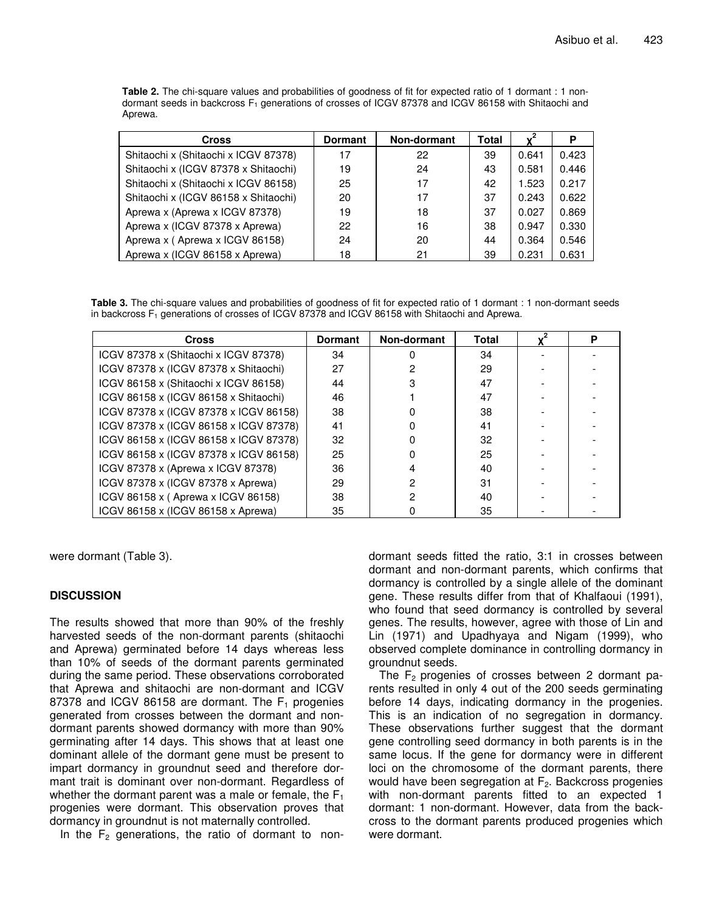**Table 2.** The chi-square values and probabilities of goodness of fit for expected ratio of 1 dormant : 1 nondormant seeds in backcross  $F_1$  generations of crosses of ICGV 87378 and ICGV 86158 with Shitaochi and Aprewa.

| <b>Cross</b>                         | <b>Dormant</b> | Non-dormant | Total |       | P     |
|--------------------------------------|----------------|-------------|-------|-------|-------|
| Shitaochi x (Shitaochi x ICGV 87378) | 17             | 22          | 39    | 0.641 | 0.423 |
| Shitaochi x (ICGV 87378 x Shitaochi) | 19             | 24          | 43    | 0.581 | 0.446 |
| Shitaochi x (Shitaochi x ICGV 86158) | 25             | 17          | 42    | 1.523 | 0.217 |
| Shitaochi x (ICGV 86158 x Shitaochi) | 20             | 17          | 37    | 0.243 | 0.622 |
| Aprewa x (Aprewa x ICGV 87378)       | 19             | 18          | 37    | 0.027 | 0.869 |
| Aprewa x (ICGV 87378 x Aprewa)       | 22             | 16          | 38    | 0.947 | 0.330 |
| Aprewa x (Aprewa x ICGV 86158)       | 24             | 20          | 44    | 0.364 | 0.546 |
| Aprewa x (ICGV 86158 x Aprewa)       | 18             | 21          | 39    | 0.231 | 0.631 |

**Table 3.** The chi-square values and probabilities of goodness of fit for expected ratio of 1 dormant : 1 non-dormant seeds in backcross F<sub>1</sub> generations of crosses of ICGV 87378 and ICGV 86158 with Shitaochi and Aprewa.

| <b>Cross</b>                           | <b>Dormant</b> | Non-dormant | <b>Total</b> | Р |
|----------------------------------------|----------------|-------------|--------------|---|
| ICGV 87378 x (Shitaochi x ICGV 87378)  | 34             |             | 34           |   |
| ICGV 87378 x (ICGV 87378 x Shitaochi)  | 27             |             | 29           |   |
| ICGV 86158 x (Shitaochi x ICGV 86158)  | 44             |             | 47           |   |
| ICGV 86158 x (ICGV 86158 x Shitaochi)  | 46             |             | 47           |   |
| ICGV 87378 x (ICGV 87378 x ICGV 86158) | 38             |             | 38           |   |
| ICGV 87378 x (ICGV 86158 x ICGV 87378) | 41             |             | 41           |   |
| ICGV 86158 x (ICGV 86158 x ICGV 87378) | 32             |             | 32           |   |
| ICGV 86158 x (ICGV 87378 x ICGV 86158) | 25             |             | 25           |   |
| ICGV 87378 x (Aprewa x ICGV 87378)     | 36             |             | 40           |   |
| ICGV 87378 x (ICGV 87378 x Aprewa)     | 29             |             | 31           |   |
| ICGV 86158 x (Aprewa x ICGV 86158)     | 38             |             | 40           |   |
| ICGV 86158 x (ICGV 86158 x Aprewa)     | 35             |             | 35           |   |

were dormant (Table 3).

#### **DISCUSSION**

The results showed that more than 90% of the freshly harvested seeds of the non-dormant parents (shitaochi and Aprewa) germinated before 14 days whereas less than 10% of seeds of the dormant parents germinated during the same period. These observations corroborated that Aprewa and shitaochi are non-dormant and ICGV 87378 and ICGV 86158 are dormant. The  $F_1$  progenies generated from crosses between the dormant and nondormant parents showed dormancy with more than 90% germinating after 14 days. This shows that at least one dominant allele of the dormant gene must be present to impart dormancy in groundnut seed and therefore dormant trait is dominant over non-dormant. Regardless of whether the dormant parent was a male or female, the  $F_1$ progenies were dormant. This observation proves that dormancy in groundnut is not maternally controlled.

In the  $F_2$  generations, the ratio of dormant to non-

dormant seeds fitted the ratio, 3:1 in crosses between dormant and non-dormant parents, which confirms that dormancy is controlled by a single allele of the dominant gene. These results differ from that of Khalfaoui (1991), who found that seed dormancy is controlled by several genes. The results, however, agree with those of Lin and Lin (1971) and Upadhyaya and Nigam (1999), who observed complete dominance in controlling dormancy in groundnut seeds.

The  $F_2$  progenies of crosses between 2 dormant parents resulted in only 4 out of the 200 seeds germinating before 14 days, indicating dormancy in the progenies. This is an indication of no segregation in dormancy. These observations further suggest that the dormant gene controlling seed dormancy in both parents is in the same locus. If the gene for dormancy were in different loci on the chromosome of the dormant parents, there would have been segregation at  $F_2$ . Backcross progenies with non-dormant parents fitted to an expected 1 dormant: 1 non-dormant. However, data from the backcross to the dormant parents produced progenies which were dormant.